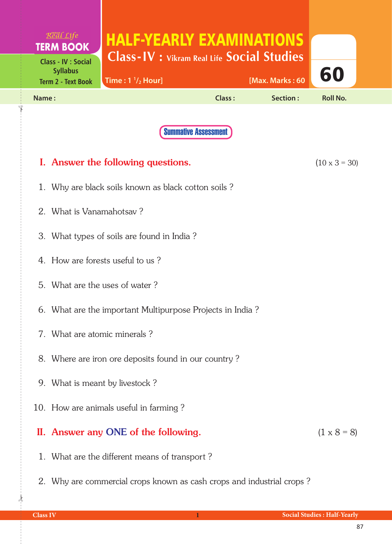| Real Life<br><b>TERM BOOK</b>                                              | <b>HALF-YEARLY EXAMINATIONS</b><br><b>Class-IV</b> : Vikram Real Life Social Studies |               |                 |                      |  |  |  |
|----------------------------------------------------------------------------|--------------------------------------------------------------------------------------|---------------|-----------------|----------------------|--|--|--|
| <b>Class - IV : Social</b><br><b>Syllabus</b><br><b>Term 2 - Text Book</b> | Time: $1 \frac{1}{2}$ Hour]                                                          |               | [Max. Marks: 60 | 60                   |  |  |  |
| Name:                                                                      |                                                                                      | <b>Class:</b> | Section:        | <b>Roll No.</b>      |  |  |  |
|                                                                            | <b>Summative Assessment</b>                                                          |               |                 |                      |  |  |  |
|                                                                            |                                                                                      |               |                 |                      |  |  |  |
|                                                                            | I. Answer the following questions.                                                   |               |                 | $(10 \times 3 = 30)$ |  |  |  |
|                                                                            | 1. Why are black soils known as black cotton soils?                                  |               |                 |                      |  |  |  |
|                                                                            | 2. What is Vanamahotsay?                                                             |               |                 |                      |  |  |  |
| 3. What types of soils are found in India?                                 |                                                                                      |               |                 |                      |  |  |  |
| 4. How are forests useful to us?                                           |                                                                                      |               |                 |                      |  |  |  |
|                                                                            | 5. What are the uses of water?                                                       |               |                 |                      |  |  |  |
| 6. What are the important Multipurpose Projects in India?                  |                                                                                      |               |                 |                      |  |  |  |
|                                                                            | 7. What are atomic minerals?                                                         |               |                 |                      |  |  |  |
| 8. Where are iron ore deposits found in our country?                       |                                                                                      |               |                 |                      |  |  |  |
| 9. What is meant by livestock?                                             |                                                                                      |               |                 |                      |  |  |  |
|                                                                            | 10. How are animals useful in farming?                                               |               |                 |                      |  |  |  |
|                                                                            | II. Answer any ONE of the following.                                                 |               |                 | $(1 \times 8 = 8)$   |  |  |  |
|                                                                            | 1. What are the different means of transport?                                        |               |                 |                      |  |  |  |
| 2. Why are commercial crops known as cash crops and industrial crops?      |                                                                                      |               |                 |                      |  |  |  |

 $\frac{1}{2}$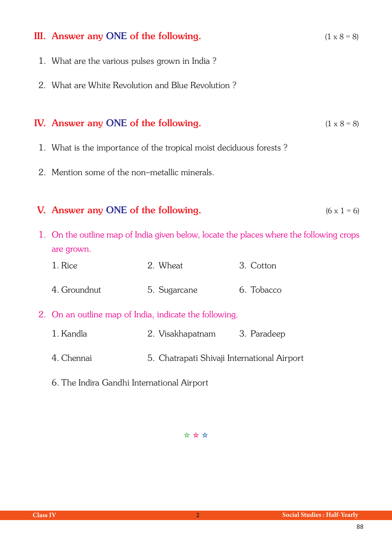| III. Answer any ONE of the following.                                                                 |                  |             | $(1 \times 8 = 8)$ |  |
|-------------------------------------------------------------------------------------------------------|------------------|-------------|--------------------|--|
| 1. What are the various pulses grown in India?                                                        |                  |             |                    |  |
| 2. What are White Revolution and Blue Revolution?                                                     |                  |             |                    |  |
| IV. Answer any ONE of the following.                                                                  |                  |             | $(1 \times 8 = 8)$ |  |
| 1. What is the importance of the tropical moist deciduous forests?                                    |                  |             |                    |  |
| 2. Mention some of the non-metallic minerals.                                                         |                  |             |                    |  |
| V. Answer any ONE of the following.<br>$(6 \times 1 = 6)$                                             |                  |             |                    |  |
| 1. On the outline map of India given below, locate the places where the following crops<br>are grown. |                  |             |                    |  |
| 1. Rice                                                                                               | 2. Wheat         | 3. Cotton   |                    |  |
| 4. Groundnut                                                                                          | 5. Sugarcane     | 6. Tobacco  |                    |  |
| 2. On an outline map of India, indicate the following.                                                |                  |             |                    |  |
| 1. Kandla                                                                                             | 2. Visakhapatnam | 3. Paradeep |                    |  |
| 4. Chennai<br>5. Chatrapati Shivaji International Airport                                             |                  |             |                    |  |
| 6. The Indira Gandhi International Airport                                                            |                  |             |                    |  |

✫ ✫ ✫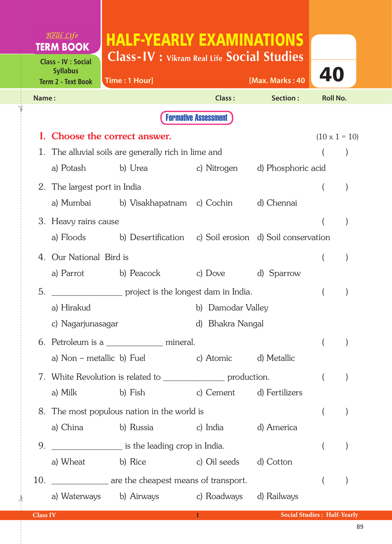|       | Real Life<br><b>TERM BOOK</b>                                              | <b>HALF-YEARLY EXAMINATIONS</b>                                    |                             |                    |                      |  |
|-------|----------------------------------------------------------------------------|--------------------------------------------------------------------|-----------------------------|--------------------|----------------------|--|
|       | <b>Class - IV : Social</b><br><b>Syllabus</b><br><b>Term 2 - Text Book</b> | <b>Class-IV : Vikram Real Life Social Studies</b><br>Time: 1 Hour] |                             | [Max. Marks: 40    | 40                   |  |
| Name: |                                                                            |                                                                    | <b>Class:</b>               | Section:           | <b>Roll No.</b>      |  |
|       |                                                                            |                                                                    | <b>Formative Assessment</b> |                    |                      |  |
| L.    |                                                                            | Choose the correct answer.                                         |                             |                    | $(10 \times 1 = 10)$ |  |
| 1.    |                                                                            | The alluvial soils are generally rich in lime and                  |                             |                    |                      |  |
|       |                                                                            | a) Potash b) Urea                                                  | c) Nitrogen                 | d) Phosphoric acid |                      |  |
|       | 2. The largest port in India                                               |                                                                    |                             |                    |                      |  |
|       |                                                                            | a) Mumbai         b) Visakhapatnam   c) Cochin                     |                             | d) Chennai         |                      |  |
|       | 3. Heavy rains cause                                                       |                                                                    |                             |                    |                      |  |
|       | a) Floods                                                                  | b) Desertification     c) Soil erosion   d) Soil conservation      |                             |                    |                      |  |
|       | 4. Our National Bird is                                                    |                                                                    |                             |                    |                      |  |
|       |                                                                            | a) Parrot b) Peacock                                               | c) Dove                     | d) Sparrow         |                      |  |
| 5.    |                                                                            | project is the longest dam in India.                               |                             |                    |                      |  |
|       | a) Hirakud                                                                 | b) Damodar Valley                                                  |                             |                    |                      |  |
|       | d) Bhakra Nangal<br>c) Nagarjunasagar                                      |                                                                    |                             |                    |                      |  |
|       |                                                                            |                                                                    |                             |                    |                      |  |
|       |                                                                            | a) Non – metallic b) Fuel c) Atomic d) Metallic                    |                             |                    |                      |  |
|       |                                                                            | 7. White Revolution is related to ____________________ production. |                             |                    |                      |  |
|       | a) Milk                                                                    | b) Fish                                                            | c) Cement d) Fertilizers    |                    |                      |  |
|       |                                                                            | 8. The most populous nation in the world is                        |                             |                    |                      |  |
|       |                                                                            |                                                                    |                             | d) America         |                      |  |
| 9.    |                                                                            | is the leading crop in India.                                      |                             |                    |                      |  |
|       |                                                                            | a) Wheat b) Rice c) Oil seeds d) Cotton                            |                             |                    |                      |  |
| 10.   |                                                                            | ________________ are the cheapest means of transport.              |                             |                    |                      |  |
|       |                                                                            | a) Waterways b) Airways                                            | c) Roadways                 | d) Railways        |                      |  |

 $\frac{1}{2}$ 

✁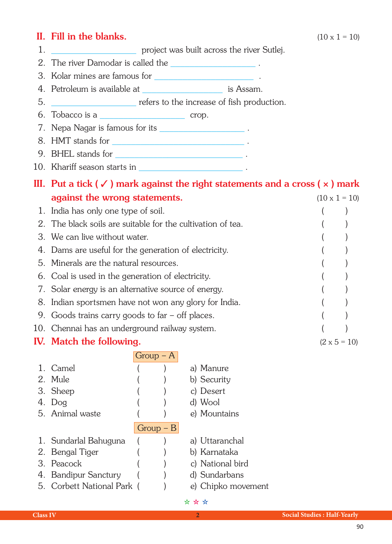## II. Fill in the blanks.  $(10 \times 1 = 10)$

- 1. **1. Example 1. project was built across the river Sutlej.**
- 
- 2. The river Damodar is called the \_\_\_\_\_\_\_\_\_\_\_\_\_\_\_\_\_\_ . 3. Kolar mines are famous for \_\_\_\_\_\_\_\_\_\_\_\_\_\_\_\_\_\_\_\_\_ .
- 4. Petroleum is available at  $\qquad \qquad$  is Assam.
- 5. \_\_\_\_\_\_\_\_\_\_\_\_\_\_\_\_\_\_ refers to the increase of fish production.
- $6.$  Tobacco is a  $\qquad \qquad \qquad \qquad \qquad \qquad \qquad \text{crop.}$
- 7. Nepa Nagar is famous for its \_\_\_\_\_\_\_\_\_\_\_\_\_\_\_\_\_\_ .
- 8. HMT stands for \_\_\_\_\_\_\_\_\_\_\_\_\_\_\_\_\_\_\_\_\_\_\_\_\_\_\_\_ .
- 9. BHEL stands for \_\_\_\_\_\_\_\_\_\_\_\_\_\_\_\_\_\_\_\_\_\_\_\_\_\_\_ .
- 10. Khariff season starts in \_\_\_\_\_\_\_\_\_\_\_\_\_\_\_\_\_\_\_\_\_\_ .

## III. Put a tick  $(\checkmark)$  mark against the right statements and a cross  $(x)$  mark

| against the wrong statements.                               | $(10 \times 1 = 10)$ |
|-------------------------------------------------------------|----------------------|
| 1. India has only one type of soil.                         |                      |
| 2. The black soils are suitable for the cultivation of tea. |                      |
| 3. We can live without water.                               |                      |
| 4. Dams are useful for the generation of electricity.       |                      |
| 5. Minerals are the natural resources.                      |                      |
| 6. Coal is used in the generation of electricity.           |                      |
| 7. Solar energy is an alternative source of energy.         |                      |
| 8. Indian sportsmen have not won any glory for India.       |                      |
| 9. Goods trains carry goods to far $-$ off places.          |                      |
| 10. Chennai has an underground railway system.              |                      |
| <b>IV.</b> Match the following.                             | $(2 \times 5 = 10)$  |

|  |                            | $Group - A$ |                    |
|--|----------------------------|-------------|--------------------|
|  | 1. Camel                   |             | a) Manure          |
|  | 2. Mule                    |             | b) Security        |
|  | 3. Sheep                   |             | c) Desert          |
|  | 4. Dog                     |             | d) Wool            |
|  | 5. Animal waste            |             | e) Mountains       |
|  |                            | $Group - B$ |                    |
|  | 1. Sundarlal Bahuguna      |             | a) Uttaranchal     |
|  | 2. Bengal Tiger            |             | b) Karnataka       |
|  | 3. Peacock                 |             | c) National bird   |
|  | 4. Bandipur Sanctury       |             | d) Sundarbans      |
|  | 5. Corbett National Park ( |             | e) Chipko movement |
|  |                            |             | * * *              |